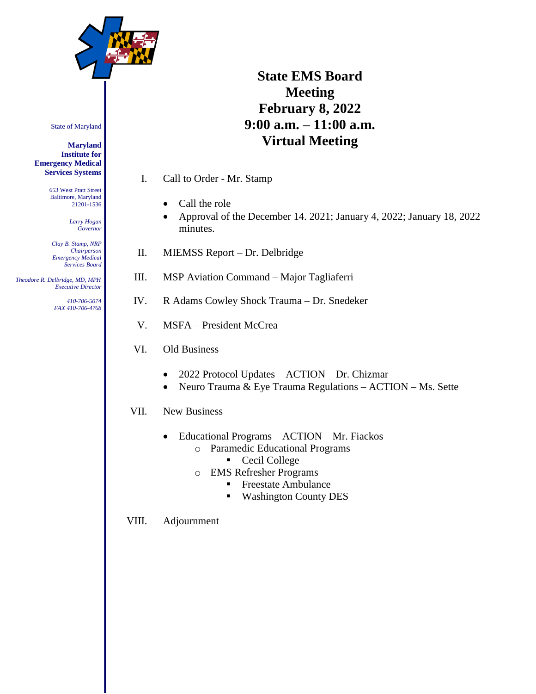

# **State EMS Board Meeting February 8, 2022 9:00 a.m. – 11:00 a.m. Virtual Meeting**

- I. Call to Order Mr. Stamp
	- Call the role
	- Approval of the December 14. 2021; January 4, 2022; January 18, 2022 minutes.
- II. MIEMSS Report Dr. Delbridge
- III. MSP Aviation Command Major Tagliaferri
- IV. R Adams Cowley Shock Trauma Dr. Snedeker
- V. MSFA President McCrea
- VI. Old Business
	- 2022 Protocol Updates ACTION Dr. Chizmar
	- Neuro Trauma & Eye Trauma Regulations ACTION Ms. Sette
- VII. New Business
	- Educational Programs ACTION Mr. Fiackos
		- o Paramedic Educational Programs
			- Cecil College
		- o EMS Refresher Programs
			- **Freestate Ambulance**
			- Washington County DES
- VIII. Adjournment

State of Maryland

**Maryland Institute for Emergency Medical Services Systems**

> 653 West Pratt Street Baltimore, Maryland 21201-1536

> > *Larry Hogan Governor*

*Clay B. Stamp, NRP Chairperson Emergency Medical Services Board*

 *Theodore R. Delbridge, MD, MPH Executive Director*

> *410-706-5074 FAX 410-706-4768*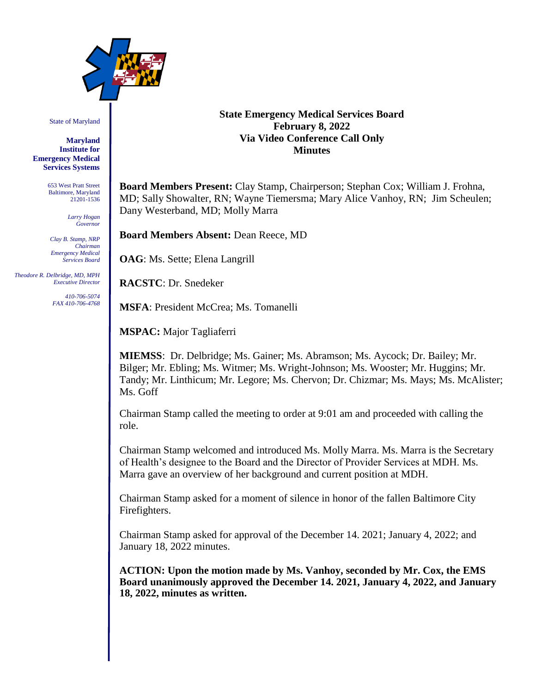

State of Maryland

**Maryland Institute for Emergency Medical Services Systems**

> 653 West Pratt Street Baltimore, Maryland 21201-1536

> > *Larry Hogan Governor*

*Clay B. Stamp, NRP Chairman Emergency Medical Services Board*

 *Theodore R. Delbridge, MD, MPH Executive Director*

> *410-706-5074 FAX 410-706-4768*

## **State Emergency Medical Services Board February 8, 2022 Via Video Conference Call Only Minutes**

**Board Members Present:** Clay Stamp, Chairperson; Stephan Cox; William J. Frohna, MD; Sally Showalter, RN; Wayne Tiemersma; Mary Alice Vanhoy, RN; Jim Scheulen; Dany Westerband, MD; Molly Marra

**Board Members Absent:** Dean Reece, MD

**OAG**: Ms. Sette; Elena Langrill

**RACSTC**: Dr. Snedeker

**MSFA**: President McCrea; Ms. Tomanelli

**MSPAC:** Major Tagliaferri

**MIEMSS**: Dr. Delbridge; Ms. Gainer; Ms. Abramson; Ms. Aycock; Dr. Bailey; Mr. Bilger; Mr. Ebling; Ms. Witmer; Ms. Wright-Johnson; Ms. Wooster; Mr. Huggins; Mr. Tandy; Mr. Linthicum; Mr. Legore; Ms. Chervon; Dr. Chizmar; Ms. Mays; Ms. McAlister; Ms. Goff

Chairman Stamp called the meeting to order at 9:01 am and proceeded with calling the role.

Chairman Stamp welcomed and introduced Ms. Molly Marra. Ms. Marra is the Secretary of Health's designee to the Board and the Director of Provider Services at MDH. Ms. Marra gave an overview of her background and current position at MDH.

Chairman Stamp asked for a moment of silence in honor of the fallen Baltimore City Firefighters.

Chairman Stamp asked for approval of the December 14. 2021; January 4, 2022; and January 18, 2022 minutes.

**ACTION: Upon the motion made by Ms. Vanhoy, seconded by Mr. Cox, the EMS Board unanimously approved the December 14. 2021, January 4, 2022, and January 18, 2022, minutes as written.**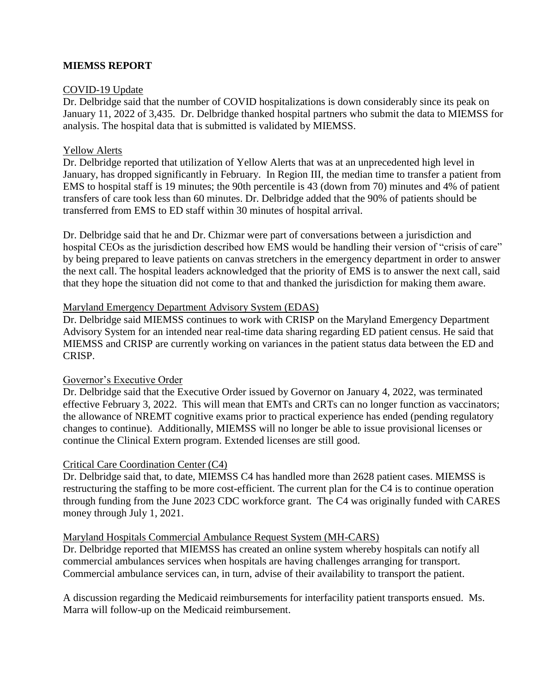## **MIEMSS REPORT**

## COVID-19 Update

Dr. Delbridge said that the number of COVID hospitalizations is down considerably since its peak on January 11, 2022 of 3,435. Dr. Delbridge thanked hospital partners who submit the data to MIEMSS for analysis. The hospital data that is submitted is validated by MIEMSS.

#### Yellow Alerts

Dr. Delbridge reported that utilization of Yellow Alerts that was at an unprecedented high level in January, has dropped significantly in February. In Region III, the median time to transfer a patient from EMS to hospital staff is 19 minutes; the 90th percentile is 43 (down from 70) minutes and 4% of patient transfers of care took less than 60 minutes. Dr. Delbridge added that the 90% of patients should be transferred from EMS to ED staff within 30 minutes of hospital arrival.

Dr. Delbridge said that he and Dr. Chizmar were part of conversations between a jurisdiction and hospital CEOs as the jurisdiction described how EMS would be handling their version of "crisis of care" by being prepared to leave patients on canvas stretchers in the emergency department in order to answer the next call. The hospital leaders acknowledged that the priority of EMS is to answer the next call, said that they hope the situation did not come to that and thanked the jurisdiction for making them aware.

#### Maryland Emergency Department Advisory System (EDAS)

Dr. Delbridge said MIEMSS continues to work with CRISP on the Maryland Emergency Department Advisory System for an intended near real-time data sharing regarding ED patient census. He said that MIEMSS and CRISP are currently working on variances in the patient status data between the ED and CRISP.

## Governor's Executive Order

Dr. Delbridge said that the Executive Order issued by Governor on January 4, 2022, was terminated effective February 3, 2022. This will mean that EMTs and CRTs can no longer function as vaccinators; the allowance of NREMT cognitive exams prior to practical experience has ended (pending regulatory changes to continue). Additionally, MIEMSS will no longer be able to issue provisional licenses or continue the Clinical Extern program. Extended licenses are still good.

## Critical Care Coordination Center (C4)

Dr. Delbridge said that, to date, MIEMSS C4 has handled more than 2628 patient cases. MIEMSS is restructuring the staffing to be more cost-efficient. The current plan for the C4 is to continue operation through funding from the June 2023 CDC workforce grant. The C4 was originally funded with CARES money through July 1, 2021.

## Maryland Hospitals Commercial Ambulance Request System (MH-CARS)

Dr. Delbridge reported that MIEMSS has created an online system whereby hospitals can notify all commercial ambulances services when hospitals are having challenges arranging for transport. Commercial ambulance services can, in turn, advise of their availability to transport the patient.

A discussion regarding the Medicaid reimbursements for interfacility patient transports ensued. Ms. Marra will follow-up on the Medicaid reimbursement.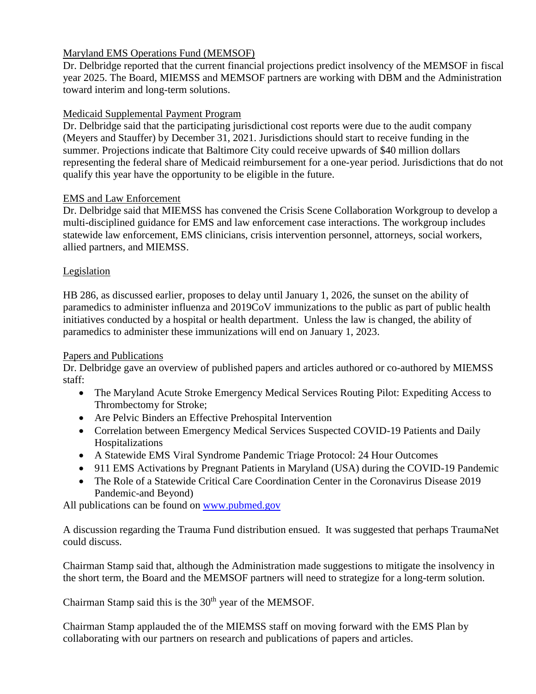# Maryland EMS Operations Fund (MEMSOF)

Dr. Delbridge reported that the current financial projections predict insolvency of the MEMSOF in fiscal year 2025. The Board, MIEMSS and MEMSOF partners are working with DBM and the Administration toward interim and long-term solutions.

# Medicaid Supplemental Payment Program

Dr. Delbridge said that the participating jurisdictional cost reports were due to the audit company (Meyers and Stauffer) by December 31, 2021. Jurisdictions should start to receive funding in the summer. Projections indicate that Baltimore City could receive upwards of \$40 million dollars representing the federal share of Medicaid reimbursement for a one-year period. Jurisdictions that do not qualify this year have the opportunity to be eligible in the future.

# EMS and Law Enforcement

Dr. Delbridge said that MIEMSS has convened the Crisis Scene Collaboration Workgroup to develop a multi-disciplined guidance for EMS and law enforcement case interactions. The workgroup includes statewide law enforcement, EMS clinicians, crisis intervention personnel, attorneys, social workers, allied partners, and MIEMSS.

# Legislation

HB 286, as discussed earlier, proposes to delay until January 1, 2026, the sunset on the ability of paramedics to administer influenza and 2019CoV immunizations to the public as part of public health initiatives conducted by a hospital or health department. Unless the law is changed, the ability of paramedics to administer these immunizations will end on January 1, 2023.

# Papers and Publications

Dr. Delbridge gave an overview of published papers and articles authored or co-authored by MIEMSS staff:

- The Maryland Acute Stroke Emergency Medical Services Routing Pilot: Expediting Access to Thrombectomy for Stroke;
- Are Pelvic Binders an Effective Prehospital Intervention
- Correlation between Emergency Medical Services Suspected COVID-19 Patients and Daily Hospitalizations
- A Statewide EMS Viral Syndrome Pandemic Triage Protocol: 24 Hour Outcomes
- 911 EMS Activations by Pregnant Patients in Maryland (USA) during the COVID-19 Pandemic
- The Role of a Statewide Critical Care Coordination Center in the Coronavirus Disease 2019 Pandemic-and Beyond)

All publications can be found on [www.pubmed.gov](http://www.pubmed.gov/)

A discussion regarding the Trauma Fund distribution ensued. It was suggested that perhaps TraumaNet could discuss.

Chairman Stamp said that, although the Administration made suggestions to mitigate the insolvency in the short term, the Board and the MEMSOF partners will need to strategize for a long-term solution.

Chairman Stamp said this is the 30<sup>th</sup> year of the MEMSOF.

Chairman Stamp applauded the of the MIEMSS staff on moving forward with the EMS Plan by collaborating with our partners on research and publications of papers and articles.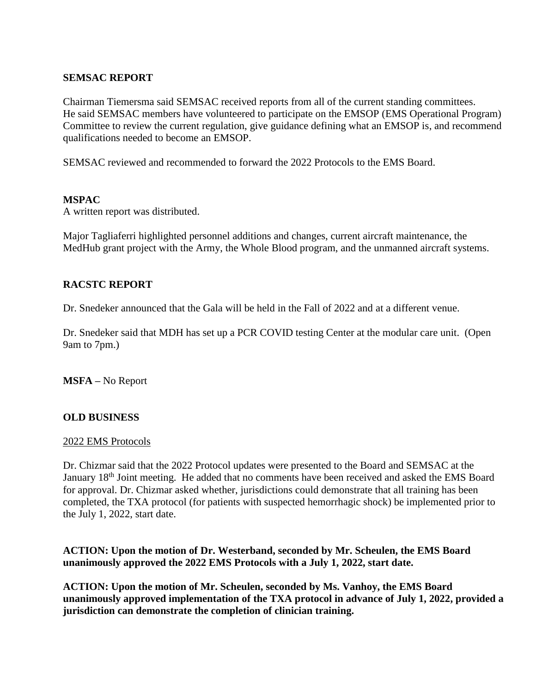## **SEMSAC REPORT**

Chairman Tiemersma said SEMSAC received reports from all of the current standing committees. He said SEMSAC members have volunteered to participate on the EMSOP (EMS Operational Program) Committee to review the current regulation, give guidance defining what an EMSOP is, and recommend qualifications needed to become an EMSOP.

SEMSAC reviewed and recommended to forward the 2022 Protocols to the EMS Board.

## **MSPAC**

A written report was distributed.

Major Tagliaferri highlighted personnel additions and changes, current aircraft maintenance, the MedHub grant project with the Army, the Whole Blood program, and the unmanned aircraft systems.

# **RACSTC REPORT**

Dr. Snedeker announced that the Gala will be held in the Fall of 2022 and at a different venue.

Dr. Snedeker said that MDH has set up a PCR COVID testing Center at the modular care unit. (Open 9am to 7pm.)

**MSFA –** No Report

# **OLD BUSINESS**

## 2022 EMS Protocols

Dr. Chizmar said that the 2022 Protocol updates were presented to the Board and SEMSAC at the January 18<sup>th</sup> Joint meeting. He added that no comments have been received and asked the EMS Board for approval. Dr. Chizmar asked whether, jurisdictions could demonstrate that all training has been completed, the TXA protocol (for patients with suspected hemorrhagic shock) be implemented prior to the July 1, 2022, start date.

**ACTION: Upon the motion of Dr. Westerband, seconded by Mr. Scheulen, the EMS Board unanimously approved the 2022 EMS Protocols with a July 1, 2022, start date.**

**ACTION: Upon the motion of Mr. Scheulen, seconded by Ms. Vanhoy, the EMS Board unanimously approved implementation of the TXA protocol in advance of July 1, 2022, provided a jurisdiction can demonstrate the completion of clinician training.**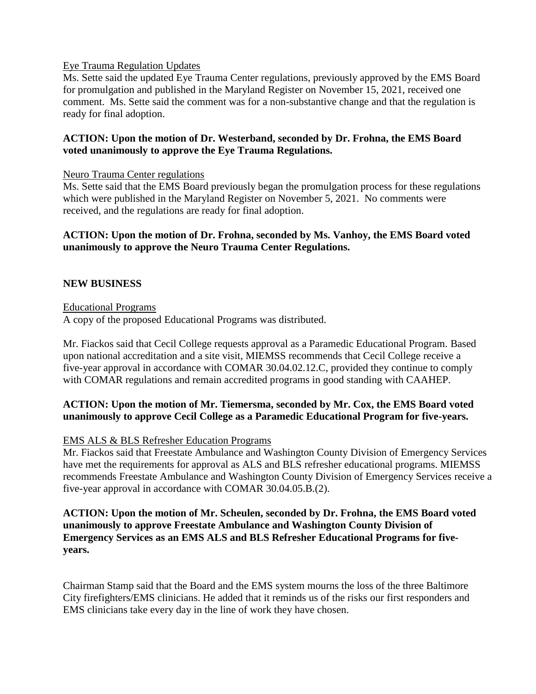## Eye Trauma Regulation Updates

Ms. Sette said the updated Eye Trauma Center regulations, previously approved by the EMS Board for promulgation and published in the Maryland Register on November 15, 2021, received one comment. Ms. Sette said the comment was for a non-substantive change and that the regulation is ready for final adoption.

## **ACTION: Upon the motion of Dr. Westerband, seconded by Dr. Frohna, the EMS Board voted unanimously to approve the Eye Trauma Regulations.**

## Neuro Trauma Center regulations

Ms. Sette said that the EMS Board previously began the promulgation process for these regulations which were published in the Maryland Register on November 5, 2021. No comments were received, and the regulations are ready for final adoption.

## **ACTION: Upon the motion of Dr. Frohna, seconded by Ms. Vanhoy, the EMS Board voted unanimously to approve the Neuro Trauma Center Regulations.**

## **NEW BUSINESS**

## Educational Programs

A copy of the proposed Educational Programs was distributed.

Mr. Fiackos said that Cecil College requests approval as a Paramedic Educational Program. Based upon national accreditation and a site visit, MIEMSS recommends that Cecil College receive a five-year approval in accordance with COMAR 30.04.02.12.C, provided they continue to comply with COMAR regulations and remain accredited programs in good standing with CAAHEP.

# **ACTION: Upon the motion of Mr. Tiemersma, seconded by Mr. Cox, the EMS Board voted unanimously to approve Cecil College as a Paramedic Educational Program for five-years.**

## EMS ALS & BLS Refresher Education Programs

Mr. Fiackos said that Freestate Ambulance and Washington County Division of Emergency Services have met the requirements for approval as ALS and BLS refresher educational programs. MIEMSS recommends Freestate Ambulance and Washington County Division of Emergency Services receive a five-year approval in accordance with COMAR 30.04.05.B.(2).

## **ACTION: Upon the motion of Mr. Scheulen, seconded by Dr. Frohna, the EMS Board voted unanimously to approve Freestate Ambulance and Washington County Division of Emergency Services as an EMS ALS and BLS Refresher Educational Programs for fiveyears.**

Chairman Stamp said that the Board and the EMS system mourns the loss of the three Baltimore City firefighters/EMS clinicians. He added that it reminds us of the risks our first responders and EMS clinicians take every day in the line of work they have chosen.